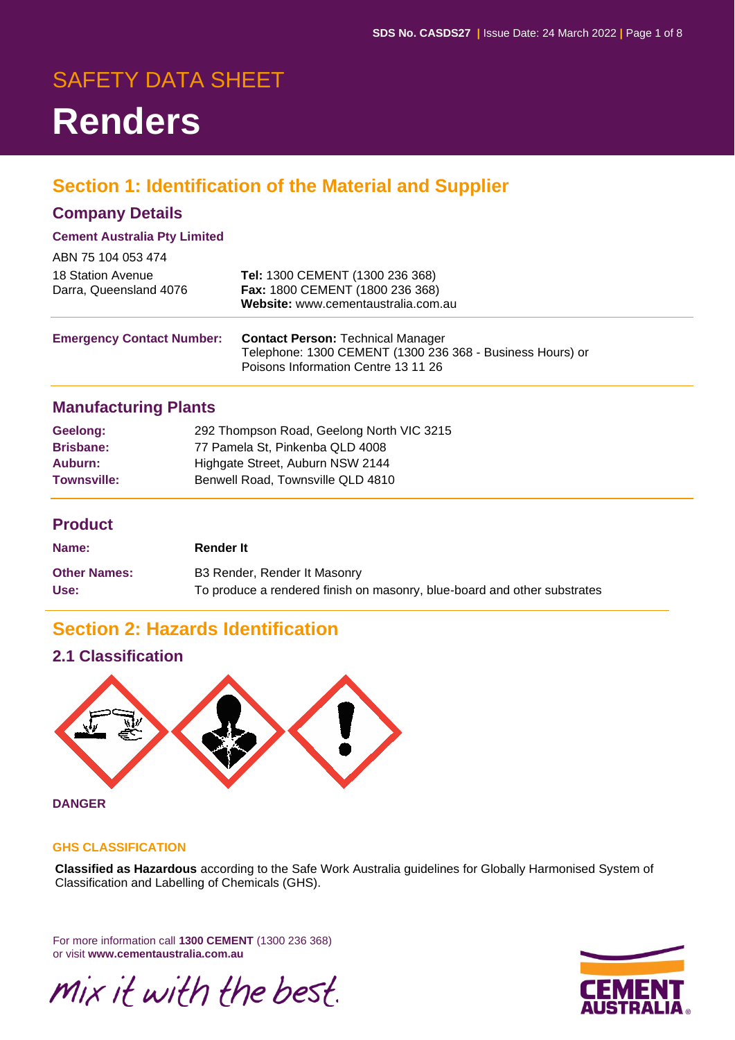# SAFETY DATA SHEET **Renders**

# **Section 1: Identification of the Material and Supplier**

### **Company Details**

#### **Cement Australia Pty Limited**

| ABN 75 104 053 474               |                                                                                                  |
|----------------------------------|--------------------------------------------------------------------------------------------------|
| 18 Station Avenue                | Tel: 1300 CEMENT (1300 236 368)                                                                  |
| Darra, Queensland 4076           | Fax: 1800 CEMENT (1800 236 368)                                                                  |
|                                  | Website: www.cementaustralia.com.au                                                              |
|                                  |                                                                                                  |
| <b>Emergency Contact Number:</b> | <b>Contact Person: Technical Manager</b>                                                         |
|                                  | Telephone: 1300 CEMENT (1300 236 368 - Business Hours) or<br>Poisons Information Centre 13 11 26 |
|                                  |                                                                                                  |

### **Manufacturing Plants**

| Geelong:           | 292 Thompson Road, Geelong North VIC 3215 |
|--------------------|-------------------------------------------|
| <b>Brisbane:</b>   | 77 Pamela St. Pinkenba QLD 4008           |
| Auburn:            | Highgate Street, Auburn NSW 2144          |
| <b>Townsville:</b> | Benwell Road, Townsville QLD 4810         |

#### **Product**

| Name:               | <b>Render It</b>                                                         |
|---------------------|--------------------------------------------------------------------------|
| <b>Other Names:</b> | B3 Render, Render It Masonry                                             |
| Use:                | To produce a rendered finish on masonry, blue-board and other substrates |

# **Section 2: Hazards Identification**

### **2.1 Classification**



**DANGER**

#### **GHS CLASSIFICATION**

**Classified as Hazardous** according to the Safe Work Australia guidelines for Globally Harmonised System of Classification and Labelling of Chemicals (GHS).

For more information call **1300 CEMENT** (1300 236 368) or visit **www.cementaustralia.com.au**

mix it with the best.

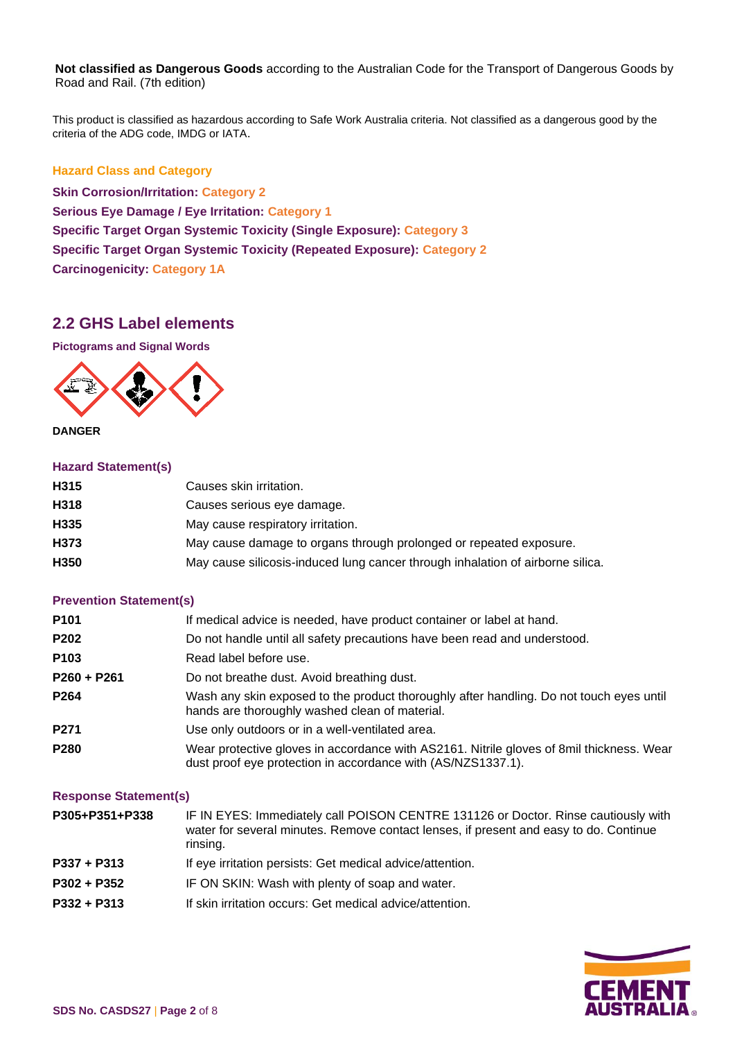**Not classified as Dangerous Goods** according to the Australian Code for the Transport of Dangerous Goods by Road and Rail. (7th edition)

This product is classified as hazardous according to Safe Work Australia criteria. Not classified as a dangerous good by the criteria of the ADG code, IMDG or IATA.

#### **Hazard Class and Category**

**Skin Corrosion/Irritation: Category 2 Serious Eye Damage / Eye Irritation: Category 1 Specific Target Organ Systemic Toxicity (Single Exposure): Category 3 Specific Target Organ Systemic Toxicity (Repeated Exposure): Category 2 Carcinogenicity: Category 1A**

#### **2.2 GHS Label elements**

**Pictograms and Signal Words**



**DANGER**

#### **Hazard Statement(s)**

| H <sub>315</sub> | Causes skin irritation.                                                        |
|------------------|--------------------------------------------------------------------------------|
| H318             | Causes serious eye damage.                                                     |
| H <sub>335</sub> | May cause respiratory irritation.                                              |
| H373             | May cause damage to organs through prolonged or repeated exposure.             |
| H <sub>350</sub> | May cause silicosis-induced lung cancer through inhalation of airborne silica. |
|                  |                                                                                |

#### **Prevention Statement(s)**

| P101             | If medical advice is needed, have product container or label at hand.                                                                                    |
|------------------|----------------------------------------------------------------------------------------------------------------------------------------------------------|
| P202             | Do not handle until all safety precautions have been read and understood.                                                                                |
| P <sub>103</sub> | Read label before use.                                                                                                                                   |
| $P260 + P261$    | Do not breathe dust. Avoid breathing dust.                                                                                                               |
| P <sub>264</sub> | Wash any skin exposed to the product thoroughly after handling. Do not touch eyes until<br>hands are thoroughly washed clean of material.                |
| P271             | Use only outdoors or in a well-ventilated area.                                                                                                          |
| P280             | Wear protective gloves in accordance with AS2161. Nitrile gloves of 8mil thickness. Wear<br>dust proof eye protection in accordance with (AS/NZS1337.1). |

#### **Response Statement(s)**

| P305+P351+P338 | IF IN EYES: Immediately call POISON CENTRE 131126 or Doctor. Rinse cautiously with<br>water for several minutes. Remove contact lenses, if present and easy to do. Continue<br>rinsing. |
|----------------|-----------------------------------------------------------------------------------------------------------------------------------------------------------------------------------------|
| P337 + P313    | If eye irritation persists: Get medical advice/attention.                                                                                                                               |
| $P302 + P352$  | IF ON SKIN: Wash with plenty of soap and water.                                                                                                                                         |
| $P332 + P313$  | If skin irritation occurs: Get medical advice/attention.                                                                                                                                |

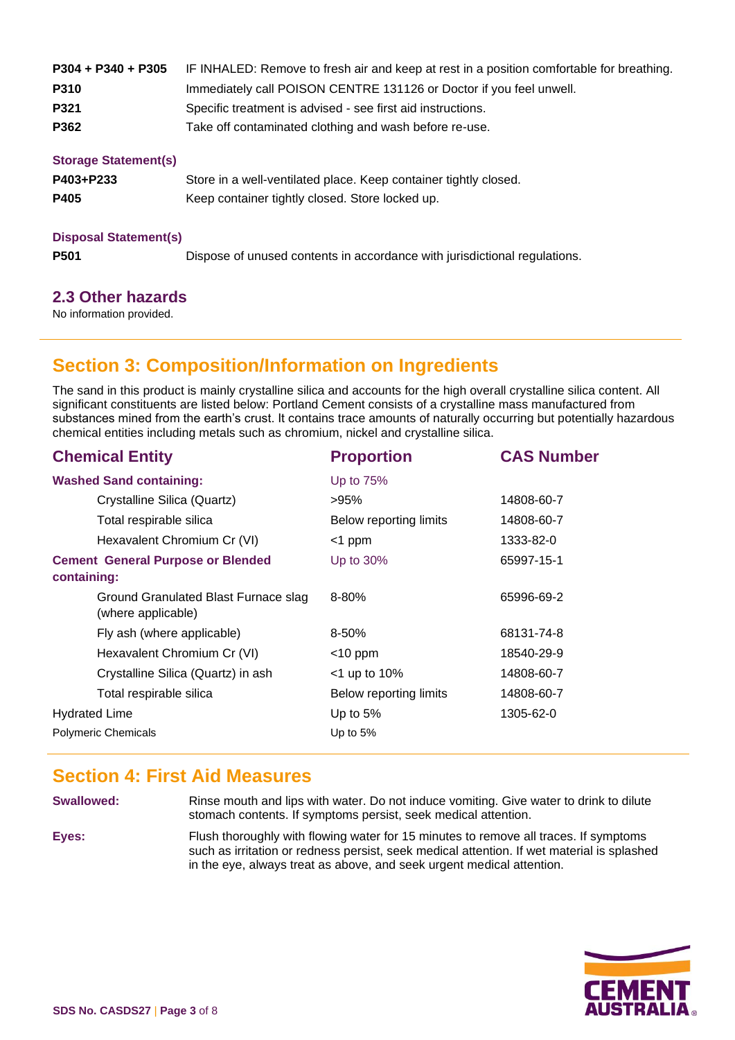| $P304 + P340 + P305$        | IF INHALED: Remove to fresh air and keep at rest in a position comfortable for breathing. |  |  |
|-----------------------------|-------------------------------------------------------------------------------------------|--|--|
| P310                        | Immediately call POISON CENTRE 131126 or Doctor if you feel unwell.                       |  |  |
| P321                        | Specific treatment is advised - see first aid instructions.                               |  |  |
| P362                        | Take off contaminated clothing and wash before re-use.                                    |  |  |
| <b>Storage Statement(s)</b> |                                                                                           |  |  |
| P403+P233                   | Store in a well-ventilated place. Keep container tightly closed.                          |  |  |
| P405                        | Keep container tightly closed. Store locked up.                                           |  |  |
|                             |                                                                                           |  |  |

#### **Disposal Statement(s)**

**P501** Dispose of unused contents in accordance with jurisdictional regulations.

### **2.3 Other hazards**

No information provided.

# **Section 3: Composition/Information on Ingredients**

The sand in this product is mainly crystalline silica and accounts for the high overall crystalline silica content. All significant constituents are listed below: Portland Cement consists of a crystalline mass manufactured from substances mined from the earth's crust. It contains trace amounts of naturally occurring but potentially hazardous chemical entities including metals such as chromium, nickel and crystalline silica.

| <b>Chemical Entity</b>                                     | <b>Proportion</b>      | <b>CAS Number</b> |
|------------------------------------------------------------|------------------------|-------------------|
| <b>Washed Sand containing:</b>                             | Up to 75%              |                   |
| Crystalline Silica (Quartz)                                | >95%                   | 14808-60-7        |
| Total respirable silica                                    | Below reporting limits | 14808-60-7        |
| Hexavalent Chromium Cr (VI)                                | $<$ 1 ppm              | 1333-82-0         |
| <b>Cement General Purpose or Blended</b><br>containing:    | Up to $30\%$           | 65997-15-1        |
| Ground Granulated Blast Furnace slag<br>(where applicable) | $8 - 80%$              | 65996-69-2        |
| Fly ash (where applicable)                                 | $8 - 50%$              | 68131-74-8        |
| Hexavalent Chromium Cr (VI)                                | $<$ 10 ppm             | 18540-29-9        |
| Crystalline Silica (Quartz) in ash                         | $<$ 1 up to 10%        | 14808-60-7        |
| Total respirable silica                                    | Below reporting limits | 14808-60-7        |
| <b>Hydrated Lime</b>                                       | Up to $5%$             | 1305-62-0         |
| <b>Polymeric Chemicals</b>                                 | Up to $5%$             |                   |
|                                                            |                        |                   |

### **Section 4: First Aid Measures**

**Swallowed:** Rinse mouth and lips with water. Do not induce vomiting. Give water to drink to dilute stomach contents. If symptoms persist, seek medical attention.

in the eye, always treat as above, and seek urgent medical attention.

**Eyes:** Flush thoroughly with flowing water for 15 minutes to remove all traces. If symptoms such as irritation or redness persist, seek medical attention. If wet material is splashed

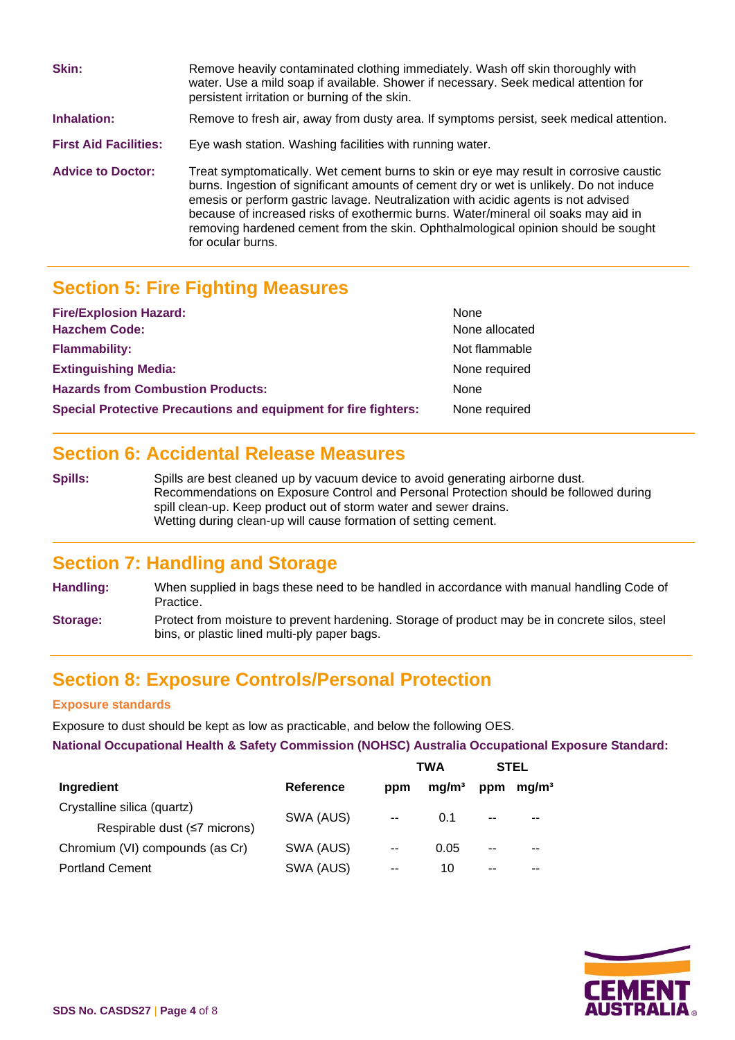| Skin:                        | Remove heavily contaminated clothing immediately. Wash off skin thoroughly with<br>water. Use a mild soap if available. Shower if necessary. Seek medical attention for<br>persistent irritation or burning of the skin.                                                                                                                                                                                                                                                |
|------------------------------|-------------------------------------------------------------------------------------------------------------------------------------------------------------------------------------------------------------------------------------------------------------------------------------------------------------------------------------------------------------------------------------------------------------------------------------------------------------------------|
| Inhalation:                  | Remove to fresh air, away from dusty area. If symptoms persist, seek medical attention.                                                                                                                                                                                                                                                                                                                                                                                 |
| <b>First Aid Facilities:</b> | Eye wash station. Washing facilities with running water.                                                                                                                                                                                                                                                                                                                                                                                                                |
| <b>Advice to Doctor:</b>     | Treat symptomatically. Wet cement burns to skin or eye may result in corrosive caustic<br>burns. Ingestion of significant amounts of cement dry or wet is unlikely. Do not induce<br>emesis or perform gastric lavage. Neutralization with acidic agents is not advised<br>because of increased risks of exothermic burns. Water/mineral oil soaks may aid in<br>removing hardened cement from the skin. Ophthalmological opinion should be sought<br>for ocular burns. |

# **Section 5: Fire Fighting Measures**

| <b>Fire/Explosion Hazard:</b>                                          | None           |
|------------------------------------------------------------------------|----------------|
| <b>Hazchem Code:</b>                                                   | None allocated |
| <b>Flammability:</b>                                                   | Not flammable  |
| <b>Extinguishing Media:</b>                                            | None required  |
| <b>Hazards from Combustion Products:</b>                               | <b>None</b>    |
| <b>Special Protective Precautions and equipment for fire fighters:</b> | None required  |

## **Section 6: Accidental Release Measures**

**Spills:** Spills are best cleaned up by vacuum device to avoid generating airborne dust. Recommendations on Exposure Control and Personal Protection should be followed during spill clean-up. Keep product out of storm water and sewer drains. Wetting during clean-up will cause formation of setting cement.

### **Section 7: Handling and Storage**

- **Handling:** When supplied in bags these need to be handled in accordance with manual handling Code of Practice. **Storage:** Protect from moisture to prevent hardening. Storage of product may be in concrete silos, steel
- bins, or plastic lined multi-ply paper bags.

### **Section 8: Exposure Controls/Personal Protection**

#### **Exposure standards**

Exposure to dust should be kept as low as practicable, and below the following OES.

**National Occupational Health & Safety Commission (NOHSC) Australia Occupational Exposure Standard:**

|                                 |           |       | TWA               |       | <b>STEL</b>       |
|---------------------------------|-----------|-------|-------------------|-------|-------------------|
| Ingredient                      | Reference | ppm   | mg/m <sup>3</sup> | ppm   | mq/m <sup>3</sup> |
| Crystalline silica (quartz)     | SWA (AUS) |       | 0.1               | $- -$ | --                |
| Respirable dust (≤7 microns)    |           | $-$   |                   |       |                   |
| Chromium (VI) compounds (as Cr) | SWA (AUS) | $- -$ | 0.05              | $- -$ | --                |
| <b>Portland Cement</b>          | SWA (AUS) | --    | 10                | $- -$ | --                |

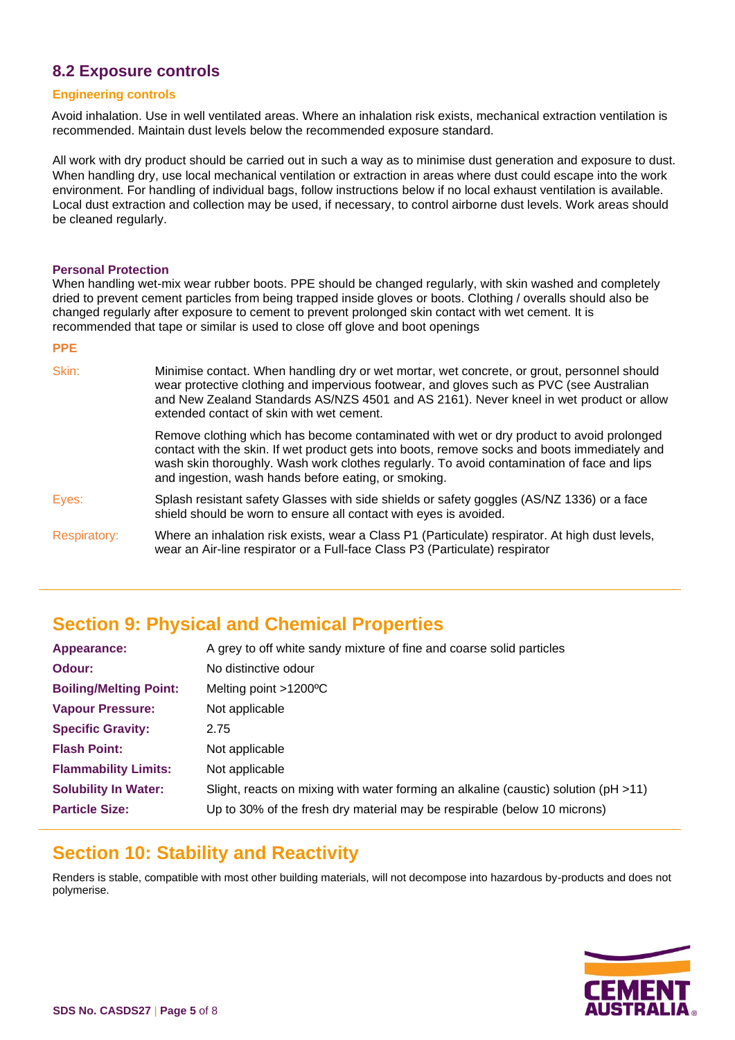### **8.2 Exposure controls**

#### **Engineering controls**

Avoid inhalation. Use in well ventilated areas. Where an inhalation risk exists, mechanical extraction ventilation is recommended. Maintain dust levels below the recommended exposure standard.

All work with dry product should be carried out in such a way as to minimise dust generation and exposure to dust. When handling dry, use local mechanical ventilation or extraction in areas where dust could escape into the work environment. For handling of individual bags, follow instructions below if no local exhaust ventilation is available. Local dust extraction and collection may be used, if necessary, to control airborne dust levels. Work areas should be cleaned regularly.

#### **Personal Protection**

When handling wet-mix wear rubber boots. PPE should be changed regularly, with skin washed and completely dried to prevent cement particles from being trapped inside gloves or boots. Clothing / overalls should also be changed regularly after exposure to cement to prevent prolonged skin contact with wet cement. It is recommended that tape or similar is used to close off glove and boot openings

#### **PPE**

| Skin:               | Minimise contact. When handling dry or wet mortar, wet concrete, or grout, personnel should<br>wear protective clothing and impervious footwear, and gloves such as PVC (see Australian<br>and New Zealand Standards AS/NZS 4501 and AS 2161). Never kneel in wet product or allow<br>extended contact of skin with wet cement.                 |
|---------------------|-------------------------------------------------------------------------------------------------------------------------------------------------------------------------------------------------------------------------------------------------------------------------------------------------------------------------------------------------|
|                     | Remove clothing which has become contaminated with wet or dry product to avoid prolonged<br>contact with the skin. If wet product gets into boots, remove socks and boots immediately and<br>wash skin thoroughly. Wash work clothes regularly. To avoid contamination of face and lips<br>and ingestion, wash hands before eating, or smoking. |
| Eyes:               | Splash resistant safety Glasses with side shields or safety goggles (AS/NZ 1336) or a face<br>shield should be worn to ensure all contact with eyes is avoided.                                                                                                                                                                                 |
| <b>Respiratory:</b> | Where an inhalation risk exists, wear a Class P1 (Particulate) respirator. At high dust levels,<br>wear an Air-line respirator or a Full-face Class P3 (Particulate) respirator                                                                                                                                                                 |

# **Section 9: Physical and Chemical Properties**

| Appearance:                   | A grey to off white sandy mixture of fine and coarse solid particles                     |
|-------------------------------|------------------------------------------------------------------------------------------|
| Odour:                        | No distinctive odour                                                                     |
| <b>Boiling/Melting Point:</b> | Melting point $>1200$ <sup>o</sup> C                                                     |
| <b>Vapour Pressure:</b>       | Not applicable                                                                           |
| <b>Specific Gravity:</b>      | 2.75                                                                                     |
| <b>Flash Point:</b>           | Not applicable                                                                           |
| <b>Flammability Limits:</b>   | Not applicable                                                                           |
| <b>Solubility In Water:</b>   | Slight, reacts on mixing with water forming an alkaline (caustic) solution ( $pH > 11$ ) |
| <b>Particle Size:</b>         | Up to 30% of the fresh dry material may be respirable (below 10 microns)                 |

### **Section 10: Stability and Reactivity**

Renders is stable, compatible with most other building materials, will not decompose into hazardous by-products and does not polymerise.

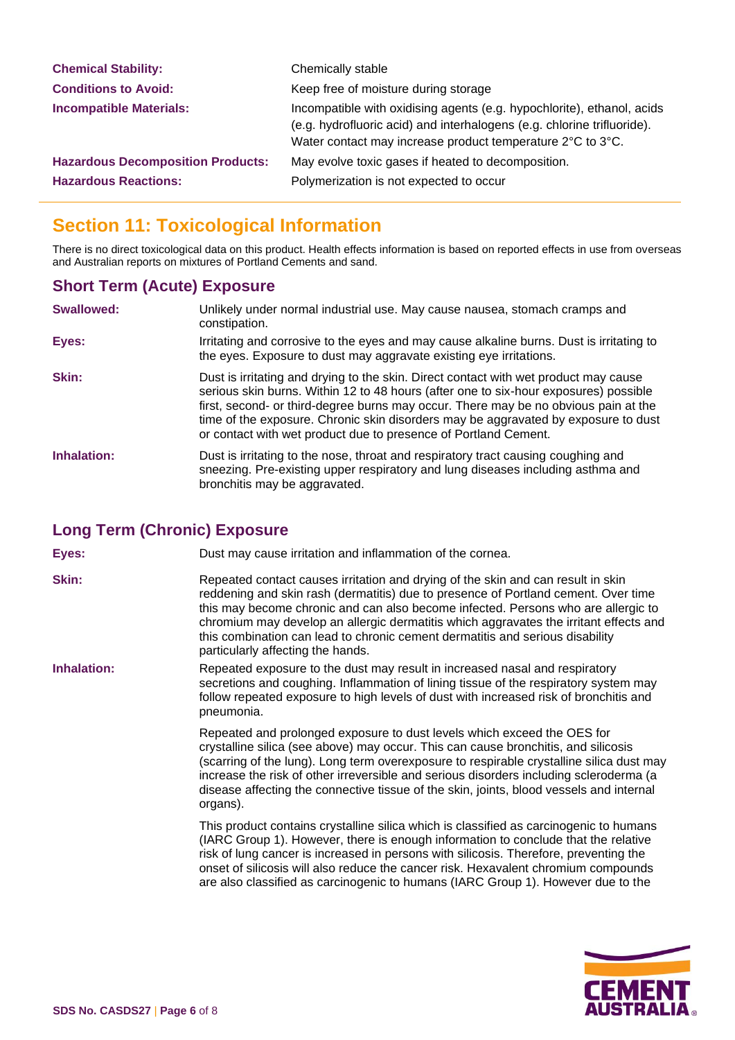| <b>Chemical Stability:</b>               | Chemically stable                                                                                                                                                                                               |
|------------------------------------------|-----------------------------------------------------------------------------------------------------------------------------------------------------------------------------------------------------------------|
| <b>Conditions to Avoid:</b>              | Keep free of moisture during storage                                                                                                                                                                            |
| <b>Incompatible Materials:</b>           | Incompatible with oxidising agents (e.g. hypochlorite), ethanol, acids<br>(e.g. hydrofluoric acid) and interhalogens (e.g. chlorine trifluoride).<br>Water contact may increase product temperature 2°C to 3°C. |
| <b>Hazardous Decomposition Products:</b> | May evolve toxic gases if heated to decomposition.                                                                                                                                                              |
| <b>Hazardous Reactions:</b>              | Polymerization is not expected to occur                                                                                                                                                                         |

# **Section 11: Toxicological Information**

There is no direct toxicological data on this product. Health effects information is based on reported effects in use from overseas and Australian reports on mixtures of Portland Cements and sand.

### **Short Term (Acute) Exposure**

| <b>Swallowed:</b> | Unlikely under normal industrial use. May cause nausea, stomach cramps and<br>constipation.                                                                                                                                                                                                                                                                                                                                  |
|-------------------|------------------------------------------------------------------------------------------------------------------------------------------------------------------------------------------------------------------------------------------------------------------------------------------------------------------------------------------------------------------------------------------------------------------------------|
| Eyes:             | Irritating and corrosive to the eyes and may cause alkaline burns. Dust is irritating to<br>the eyes. Exposure to dust may aggravate existing eye irritations.                                                                                                                                                                                                                                                               |
| Skin:             | Dust is irritating and drying to the skin. Direct contact with wet product may cause<br>serious skin burns. Within 12 to 48 hours (after one to six-hour exposures) possible<br>first, second- or third-degree burns may occur. There may be no obvious pain at the<br>time of the exposure. Chronic skin disorders may be aggravated by exposure to dust<br>or contact with wet product due to presence of Portland Cement. |
| Inhalation:       | Dust is irritating to the nose, throat and respiratory tract causing coughing and<br>sneezing. Pre-existing upper respiratory and lung diseases including asthma and<br>bronchitis may be aggravated.                                                                                                                                                                                                                        |

### **Long Term (Chronic) Exposure**

**Eyes:** Dust may cause irritation and inflammation of the cornea.

- **Skin:** Repeated contact causes irritation and drying of the skin and can result in skin reddening and skin rash (dermatitis) due to presence of Portland cement. Over time this may become chronic and can also become infected. Persons who are allergic to chromium may develop an allergic dermatitis which aggravates the irritant effects and this combination can lead to chronic cement dermatitis and serious disability particularly affecting the hands.
- **Inhalation:** Repeated exposure to the dust may result in increased nasal and respiratory secretions and coughing. Inflammation of lining tissue of the respiratory system may follow repeated exposure to high levels of dust with increased risk of bronchitis and pneumonia.

Repeated and prolonged exposure to dust levels which exceed the OES for crystalline silica (see above) may occur. This can cause bronchitis, and silicosis (scarring of the lung). Long term overexposure to respirable crystalline silica dust may increase the risk of other irreversible and serious disorders including scleroderma (a disease affecting the connective tissue of the skin, joints, blood vessels and internal organs).

This product contains crystalline silica which is classified as carcinogenic to humans (IARC Group 1). However, there is enough information to conclude that the relative risk of lung cancer is increased in persons with silicosis. Therefore, preventing the onset of silicosis will also reduce the cancer risk. Hexavalent chromium compounds are also classified as carcinogenic to humans (IARC Group 1). However due to the

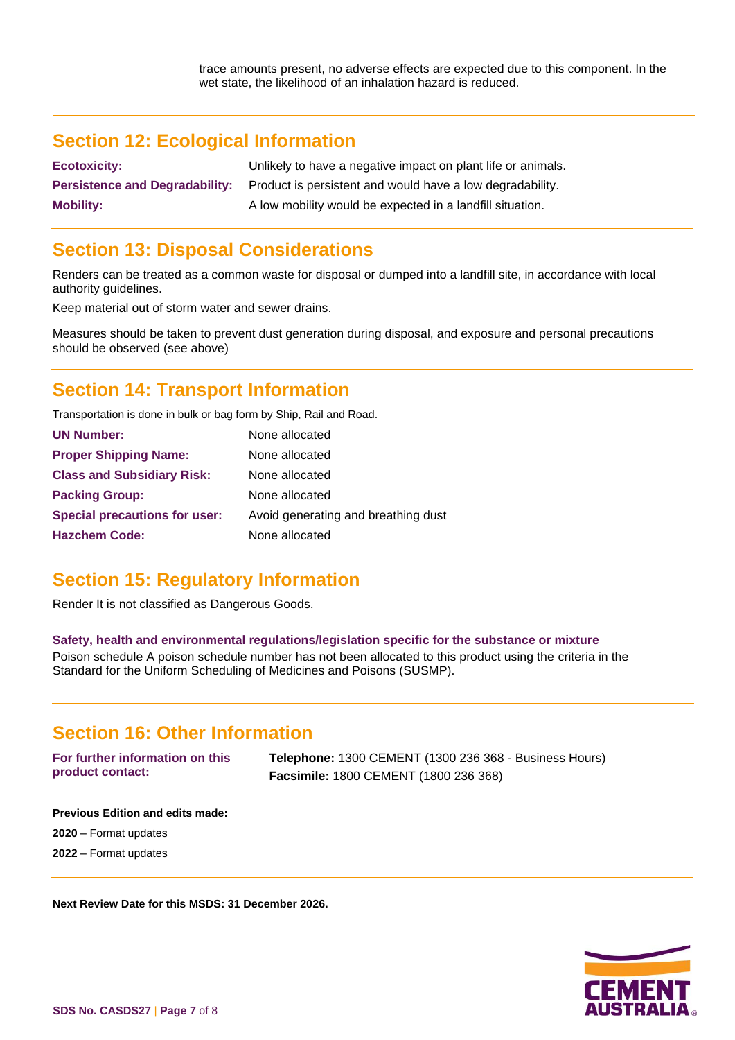# **Section 12: Ecological Information**

**Ecotoxicity:** Unlikely to have a negative impact on plant life or animals. **Persistence and Degradability:** Product is persistent and would have a low degradability. **Mobility:** A low mobility would be expected in a landfill situation.

# **Section 13: Disposal Considerations**

Renders can be treated as a common waste for disposal or dumped into a landfill site, in accordance with local authority guidelines.

Keep material out of storm water and sewer drains.

Measures should be taken to prevent dust generation during disposal, and exposure and personal precautions should be observed (see above)

# **Section 14: Transport Information**

Transportation is done in bulk or bag form by Ship, Rail and Road.

| <b>UN Number:</b>                    | None allocated                      |
|--------------------------------------|-------------------------------------|
| <b>Proper Shipping Name:</b>         | None allocated                      |
| <b>Class and Subsidiary Risk:</b>    | None allocated                      |
| <b>Packing Group:</b>                | None allocated                      |
| <b>Special precautions for user:</b> | Avoid generating and breathing dust |
| <b>Hazchem Code:</b>                 | None allocated                      |
|                                      |                                     |

# **Section 15: Regulatory Information**

Render It is not classified as Dangerous Goods.

#### **Safety, health and environmental regulations/legislation specific for the substance or mixture**

Poison schedule A poison schedule number has not been allocated to this product using the criteria in the Standard for the Uniform Scheduling of Medicines and Poisons (SUSMP).

### **Section 16: Other Information**

**For further information on this product contact: Telephone:** 1300 CEMENT (1300 236 368 - Business Hours) **Facsimile:** 1800 CEMENT (1800 236 368)

**Previous Edition and edits made:** 

**2020** – Format updates

**2022** – Format updates

**Next Review Date for this MSDS: 31 December 2026.**